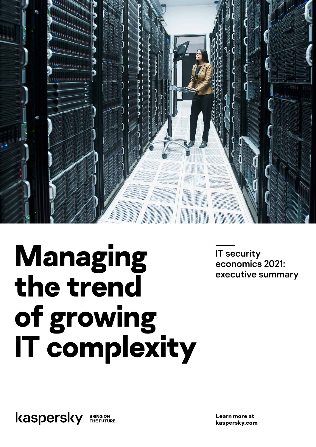

# **Managing the trend of growing IT complexity**

IT security economics 2021: executive summary

kaspersky **BRING ON<br>THE FUTURE** 

**Learn more at kaspersky.com**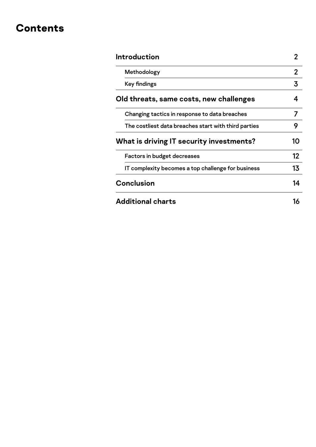### **Contents**

| Introduction                                         | 2  |
|------------------------------------------------------|----|
| Methodology                                          | 2  |
| Key findings                                         | 3  |
| Old threats, same costs, new challenges              | 4  |
| Changing tactics in response to data breaches        | 7  |
| The costliest data breaches start with third parties | 9  |
| What is driving IT security investments?             | 10 |
| Factors in budget decreases                          | 12 |
| IT complexity becomes a top challenge for business   | 13 |
| Conclusion                                           | 14 |
| <b>Additional charts</b>                             | 16 |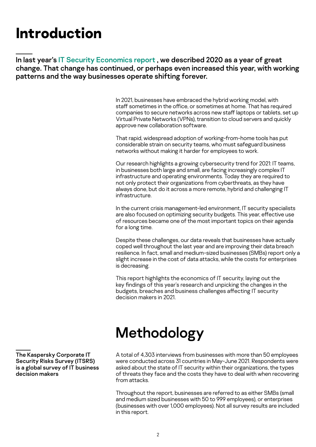### <span id="page-2-0"></span>**Introduction**

In last year's [IT Security Economics report](https://go.kaspersky.com/rs/802-IJN-240/images/Kaspersky_IT Security Economics 2020_Executive Summary.pdf) , we described 2020 as a year of great change. That change has continued, or perhaps even increased this year, with working patterns and the way businesses operate shifting forever.

> In 2021, businesses have embraced the hybrid working model, with staff sometimes in the office, or sometimes at home. That has required companies to secure networks across new staff laptops or tablets, set up Virtual Private Networks (VPNs), transition to cloud servers and quickly approve new collaboration software.

That rapid, widespread adoption of working-from-home tools has put considerable strain on security teams, who must safeguard business networks without making it harder for employees to work.

Our research highlights a growing cybersecurity trend for 2021: IT teams, in businesses both large and small, are facing increasingly complex IT infrastructure and operating environments. Today they are required to not only protect their organizations from cyberthreats, as they have always done, but do it across a more remote, hybrid and challenging IT infrastructure.

In the current crisis management-led environment, IT security specialists are also focused on optimizing security budgets. This year, effective use of resources became one of the most important topics on their agenda for a long time.

Despite these challenges, our data reveals that businesses have actually coped well throughout the last year and are improving their data breach resilience. In fact, small and medium-sized businesses (SMBs) report only a slight increase in the cost of data attacks, while the costs for enterprises is decreasing.

This report highlights the economics of IT security, laying out the key findings of this year's research and unpicking the changes in the budgets, breaches and business challenges affecting IT security decision makers in 2021.

# Methodology

A total of 4,303 interviews from businesses with more than 50 employees were conducted across 31 countries in May-June 2021. Respondents were asked about the state of IT security within their organizations, the types of threats they face and the costs they have to deal with when recovering from attacks.

Throughout the report, businesses are referred to as either SMBs (small and medium sized businesses with 50 to 999 employees), or enterprises (businesses with over 1,000 employees). Not all survey results are included in this report.

The Kaspersky Corporate IT Security Risks Survey (ITSRS) is a global survey of IT business decision makers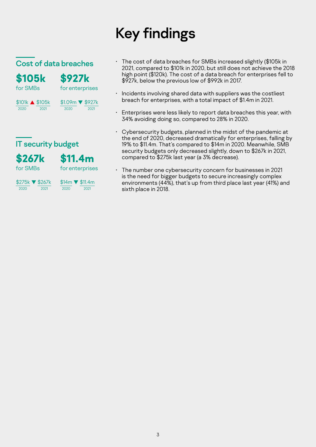# Key findings

### <span id="page-3-0"></span>Cost of data breaches

| <b>\$105k</b>   | <b>\$927k</b>    |
|-----------------|------------------|
| for SMBs        | for enterprises  |
| \$101k ▲ \$105k | \$1.09m ▼ \$927k |
| 2020            | 2020             |
| 2021            | 2021             |

### **IT security budget**



for SMBs

for enterprises



 $\frac{$14m}{2020}$   $\sqrt{\frac{$11.4m}{2021}}$  $\frac{1}{2020}$ 

- The cost of data breaches for SMBs increased slightly (\$105k in 2021, compared to \$101k in 2020, but still does not achieve the 2018 high point (\$120k). The cost of a data breach for enterprises fell to \$927k, below the previous low of \$992k in 2017.
- Incidents involving shared data with suppliers was the costliest breach for enterprises, with a total impact of \$1.4m in 2021.
- Enterprises were less likely to report data breaches this year, with 34% avoiding doing so, compared to 28% in 2020.
- Cybersecurity budgets, planned in the midst of the pandemic at the end of 2020, decreased dramatically for enterprises, falling by 19% to \$11.4m. That's compared to \$14m in 2020. Meanwhile, SMB security budgets only decreased slightly, down to \$267k in 2021, compared to \$275k last year (a 3% decrease).
- The number one cybersecurity concern for businesses in 2021 is the need for bigger budgets to secure increasingly complex environments (44%), that's up from third place last year (41%) and sixth place in 2018.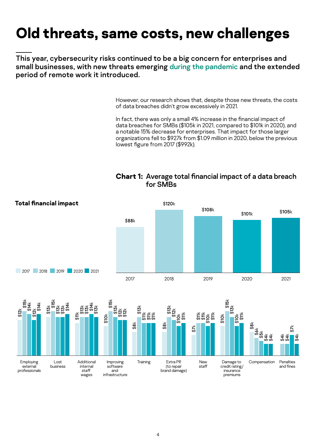### <span id="page-4-0"></span>**Old threats, same costs, new challenges**

This year, cybersecurity risks continued to be a big concern for enterprises and small businesses, with new threats emerging [during the pandemic](https://securelist.com/covid-19-examining-the-threat-landscape-a-year-later/101154/) and the extended period of remote work it introduced.

> However, our research shows that, despite those new threats, the costs of data breaches didn't grow excessively in 2021.

> In fact, there was only a small 4% increase in the financial impact of data breaches for SMBs (\$105k in 2021, compared to \$101k in 2020), and a notable 15% decrease for enterprises. That impact for those larger organizations fell to \$927k from \$1.09 million in 2020, below the previous lowest figure from 2017 (\$992k).

#### **Chart 1:** Average total financial impact of a data breach for SMBs

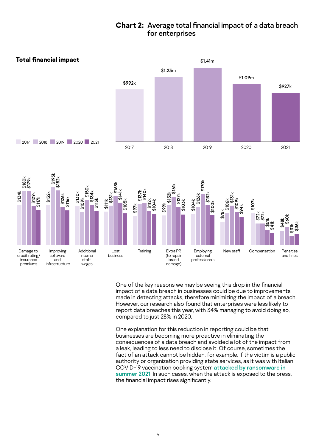### **Chart 2:** Average total financial impact of a data breach for enterprises



One of the key reasons we may be seeing this drop in the financial impact of a data breach in businesses could be due to improvements made in detecting attacks, therefore minimizing the impact of a breach. However, our research also found that enterprises were less likely to report data breaches this year, with 34% managing to avoid doing so, compared to just 28% in 2020.

One explanation for this reduction in reporting could be that businesses are becoming more proactive in eliminating the consequences of a data breach and avoided a lot of the impact from a leak, leading to less need to disclose it. Of course, sometimes the fact of an attack cannot be hidden, for example, if the victim is a public authority or organization providing state services, as it was with Italian COVID-19 vaccination booking system [attacked by ransomware in](https://edition.cnn.com/2021/08/02/business/italy-hackers-covid-vaccine-intl/index.html)  [summer 2021](https://edition.cnn.com/2021/08/02/business/italy-hackers-covid-vaccine-intl/index.html). In such cases, when the attack is exposed to the press, the financial impact rises significantly.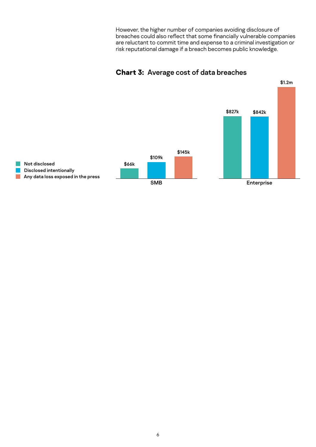However, the higher number of companies avoiding disclosure of breaches could also reflect that some financially vulnerable companies are reluctant to commit time and expense to a criminal investigation or risk reputational damage if a breach becomes public knowledge.



#### **Chart 3:** Average cost of data breaches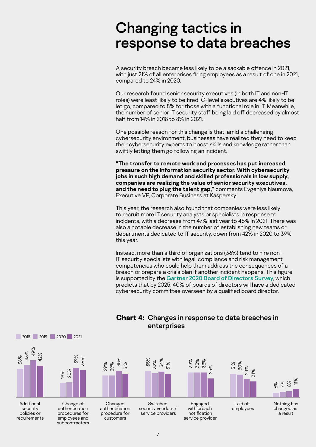### <span id="page-7-0"></span>Changing tactics in response to data breaches

A security breach became less likely to be a sackable offence in 2021, with just 21% of all enterprises firing employees as a result of one in 2021, compared to 24% in 2020.

Our research found senior security executives (in both IT and non-IT roles) were least likely to be fired. C-level executives are 4% likely to be let go, compared to 8% for those with a functional role in IT. Meanwhile, the number of senior IT security staff being laid off decreased by almost half from 14% in 2018 to 8% in 2021.

One possible reason for this change is that, amid a challenging cybersecurity environment, businesses have realized they need to keep their cybersecurity experts to boost skills and knowledge rather than swiftly letting them go following an incident.

"The transfer to remote work and processes has put increased pressure on the information security sector. With cybersecurity jobs in such high demand and skilled professionals in low supply, companies are realizing the value of senior security executives, and the need to plug the talent gap," comments Evgeniya Naumova, Executive VP, Corporate Business at Kaspersky.

This year, the research also found that companies were less likely to recruit more IT security analysts or specialists in response to incidents, with a decrease from 47% last year to 45% in 2021. There was also a notable decrease in the number of establishing new teams or departments dedicated to IT security, down from 42% in 2020 to 39% this year.

Instead, more than a third of organizations (36%) tend to hire non-IT security specialists with legal, compliance and risk management competencies who could help them address the consequences of a breach or prepare a crisis plan if another incident happens. This figure is supported by the [Gartner 2020 Board of Directors Survey](https://www.gartner.com/en/newsroom/press-releases/2021-01-28-gartner-predicts-40--of-boards-will-have-a-dedicated-), which predicts that by 2025, 40% of boards of directors will have a dedicated cybersecurity committee overseen by a qualified board director.



### **Chart 4:** Changes in response to data breaches in enterprises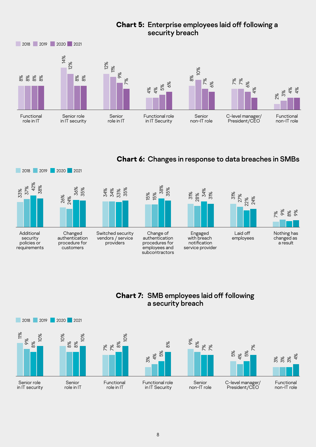### **Chart 5:** Enterprise employees laid off following a security breach



### **Chart 6:** Changes in response to data breaches in SMBs



### **Chart 7:** SMB employees laid off following a security breach

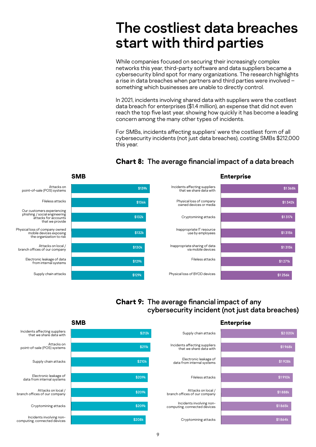### <span id="page-9-0"></span>The costliest data breaches start with third parties

While companies focused on securing their increasingly complex networks this year, third-party software and data suppliers became a cybersecurity blind spot for many organizations. The research highlights a rise in data breaches when partners and third parties were involved – something which businesses are unable to directly control.

In 2021, incidents involving shared data with suppliers were the costliest data breach for enterprises (\$1.4 million), an expense that did not even reach the top five last year, showing how quickly it has become a leading concern among the many other types of incidents.

For SMBs, incidents affecting suppliers' were the costliest form of all cybersecurity incidents (not just data breaches), costing SMBs \$212,000 this year.



### **Chart 8:** The average financial impact of a data breach

### **Chart 9:** The average financial impact of any cybersecurity incident (not just data breaches)

|                                                          | <b>SMB</b> |                                                          | <b>Enterprise</b> |
|----------------------------------------------------------|------------|----------------------------------------------------------|-------------------|
| Incidents affecting suppliers<br>that we share data with | \$212k     | Supply chain attacks                                     | \$2020k           |
| Attacks on<br>point-of-sale (POS) systems                | \$211k     | Incidents affecting suppliers<br>that we share data with | \$1968k           |
| Supply chain attacks                                     | \$210k     | Electronic leakage of<br>data from internal systems      | \$1928k           |
| Electronic leakage of<br>data from internal systems      | \$209k     | Fileless attacks                                         | \$1910k           |
| Attacks on local /<br>anch offices of our company        | \$209k     | Attacks on local /<br>branch offices of our company      | \$1888k           |
| Cryptomining attacks                                     | \$209k     | Incidents involving non-<br>computing, connected devices | \$1865k           |
| Incidents involving non-<br>mputing, connected devices   | \$208k     | Cryptomining attacks                                     | \$1864k           |

#### **SMB**

Attacks on local / A<br>branch offices

Incident computing, con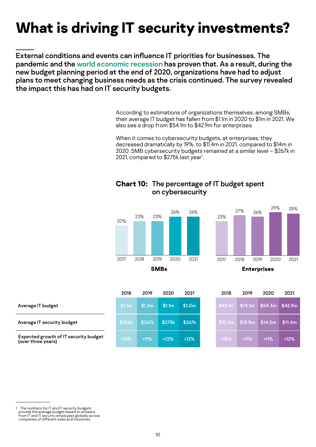# <span id="page-10-0"></span>**What is driving IT security investments?**

External conditions and events can influence IT priorities for businesses. The pandemic and the [world economic recession](https://www.reuters.com/article/us-global-economy-yearend-graphic-idUSKBN2950GH) has proven that. As a result, during the new budget planning period at the end of 2020, organizations have had to adjust plans to meet changing business needs as the crisis continued. The survey revealed the impact this has had on IT security budgets.

> According to estimations of organizations themselves, among SMBs, their average IT budget has fallen from \$1.1m in 2020 to \$1m in 2021. We also see a drop from \$54.1m to \$42.9m for enterprises.

> When it comes to cybersecurity budgets, at enterprises, they decreased dramatically by 19%, to \$11.4m in 2021, compared to \$14m in 2020. SMB cybersecurity budgets remained at a similar level – \$267k in 2021, compared to \$275k last year<sup>1</sup>.

### **Chart 10:** The percentage of IT budget spent on cybersecurity





|                                                             | 2018               | 2019   | 2020               | 2021                        | 2018    | 2019    | 2020                          | 2021    |
|-------------------------------------------------------------|--------------------|--------|--------------------|-----------------------------|---------|---------|-------------------------------|---------|
| Average IT budget                                           | \$1.1 <sub>m</sub> | \$1.2m | \$1.1 <sub>m</sub> | $\textsf{S}1.0\textsf{m}$ . | \$42.1m | \$74.1m | $\frac{1}{2}$ \$54.3m \$42.9m |         |
| Average IT security budget                                  | \$256k             | \$267k | \$275k             | \$267k                      | \$10.2m | \$18.9m | \$14.0m                       | \$11.4m |
| Expected growth of IT security budget<br>(over three years) | $+14%$             | $+11%$ | $+12%$             | $+12%$                      | $+15%$  | $+11%$  | $+11%$                        | $+12%$  |

The numbers for IT and IT security budgets provide the average budget based on answers from IT and IT security employees globally across companies of different sizes and industries.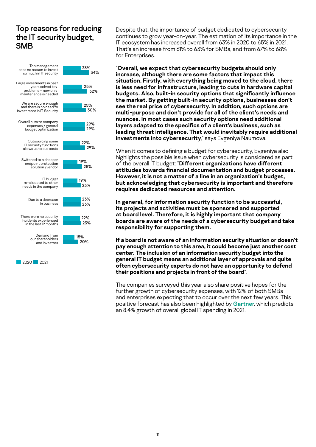### Top reasons for reducing the IT security budget, **SMB**



2020 2021

Despite that, the importance of budget dedicated to cybersecurity continues to grow year-on-year. The estimation of its importance in the IT ecosystem has increased overall from 63% in 2020 to 65% in 2021. That's an increase from 61% to 63% for SMBs, and from 67% to 68% for Enterprises.

"Overall, we expect that cybersecurity budgets should only increase, although there are some factors that impact this situation. Firstly, with everything being moved to the cloud, there is less need for infrastructure, leading to cuts in hardware capital budgets. Also, built-in security options that significantly influence the market. By getting built-in security options, businesses don't see the real price of cybersecurity. In addition, such options are multi-purpose and don't provide for all of the client's needs and nuances. In most cases such security options need additional layers adapted to the specifics of a client's business, such as leading threat intelligence. That would inevitably require additional investments into cybersecurity," says Evgeniya Naumova.

When it comes to defining a budget for cybersecurity, Evgeniya also highlights the possible issue when cybersecurity is considered as part of the overall IT budget: "Different organizations have different attitudes towards financial documentation and budget processes. However, it is not a matter of a line in an organization's budget, but acknowledging that cybersecurity is important and therefore requires dedicated resources and attention.

In general, for information security function to be successful, its projects and activities must be sponsored and supported at board level. Therefore, it is highly important that company boards are aware of the needs of a cybersecurity budget and take responsibility for supporting them.

If a board is not aware of an information security situation or doesn't pay enough attention to this area, it could become just another cost center. The inclusion of an information security budget into the general IT budget means an additional layer of approvals and quite often cybersecurity experts do not have an opportunity to defend their positions and projects in front of the board".

The companies surveyed this year also share positive hopes for the further growth of cybersecurity expenses, with 12% of both SMBs and enterprises expecting that to occur over the next few years. This positive forecast has also been highlighted by [Gartner](https://www.gartner.com/en/newsroom/press-releases/2021-04-07-gartner-forecasts-worldwide-it-spending-to-reach-4-trillion-in-2021), which predicts an 8.4% growth of overall global IT spending in 2021.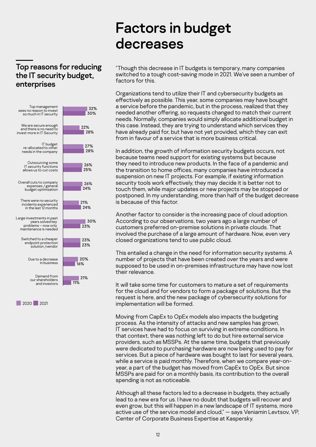### <span id="page-12-0"></span>Top reasons for reducing the IT security budget, enterprises



2020 2021

### Factors in budget decreases

"Though this decrease in IT budgets is temporary, many companies switched to a tough cost-saving mode in 2021. We've seen a number of factors for this.

Organizations tend to utilize their IT and cybersecurity budgets as effectively as possible. This year, some companies may have bought a service before the pandemic, but in the process, realized that they needed another offering, so requests changed to match their current needs. Normally, companies would simply allocate additional budget in this case. Instead, they are trying to understand which services they have already paid for, but have not yet provided, which they can exit from in favour of a service that is more business critical.

In addition, the growth of information security budgets occurs, not because teams need support for existing systems but because they need to introduce new products. In the face of a pandemic and the transition to home offices, many companies have introduced a suspension on new IT projects. For example, if existing information security tools work effectively, they may decide it is better not to touch them, while major updates or new projects may be stopped or postponed. In my understanding, more than half of the budget decrease is because of this factor.

Another factor to consider is the increasing pace of cloud adoption. According to our observations, two years ago a large number of customers preferred on-premise solutions in private clouds. That involved the purchase of a large amount of hardware. Now, even very closed organizations tend to use public cloud.

This entailed a change in the need for information security systems. A number of projects that have been created over the years and were supposed to be used in on-premises infrastructure may have now lost their relevance.

It will take some time for customers to mature a set of requirements for the cloud and for vendors to form a package of solutions. But the request is here, and the new package of cybersecurity solutions for implementation will be formed.

Moving from CapEx to OpEx models also impacts the budgeting process. As the intensity of attacks and new samples has grown, IT services have had to focus on surviving in extreme conditions. In that context, there was nothing left to do but hire external service providers, such as MSSPs. At the same time, budgets that previously were dedicated to purchasing hardware are now being used to pay for services. But a piece of hardware was bought to last for several years, while a service is paid monthly. Therefore, when we compare year-onyear, a part of the budget has moved from CapEx to OpEx. But since MSSPs are paid for on a monthly basis, its contribution to the overall spending is not as noticeable.

Although all these factors led to a decrease in budgets, they actually lead to a new era for us. I have no doubt that budgets will recover and even grow, but this will happen in a new landscape of IT systems, more active use of the service model and cloud," — says Veniamin Levtsov, VP, Center of Corporate Business Expertise at Kaspersky.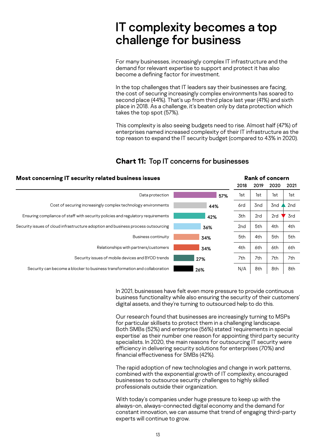### <span id="page-13-0"></span>IT complexity becomes a top challenge for business

For many businesses, increasingly complex IT infrastructure and the demand for relevant expertise to support and protect it has also become a defining factor for investment.

In the top challenges that IT leaders say their businesses are facing, the cost of securing increasingly complex environments has soared to second place (44%). That's up from third place last year (41%) and sixth place in 2018. As a challenge, it's beaten only by data protection which takes the top spot (57%).

This complexity is also seeing budgets need to rise. Almost half (47%) of enterprises named increased complexity of their IT infrastructure as the top reason to expand the IT security budget (compared to 43% in 2020).

| Most concerning IT security related business issues                               |     |      | <b>Rank of concern</b> |      |      |  |
|-----------------------------------------------------------------------------------|-----|------|------------------------|------|------|--|
|                                                                                   |     | 2018 | 2019                   | 2020 | 2021 |  |
| Data protection                                                                   | 57% | 1st  | 1st                    | 1st  | 1st  |  |
| Cost of securing increasingly complex technology environments                     | 44% | 6rd  | 3nd                    | 3nd  | 2nd  |  |
| Ensuring compliance of staff with security policies and regulatory requirements   | 42% | 3th  | 2rd                    | 2rd  | 3rd  |  |
| Security issues of cloud infrastructure adoption and business process outsourcing | 36% | 2nd  | 5th                    | 4th  | 4th  |  |
| <b>Business continuity</b>                                                        | 34% | 5th  | 4th                    | 5th  | 5th  |  |
| Relationships with partners/customers                                             | 34% | 4th  | 6th                    | 6th  | 6th  |  |
| Security issues of mobile devices and BYOD trends                                 | 27% | 7th  | 7th                    | 7th  | 7th  |  |
| Security can become a blocker to business transformation and collaboration        | 26% | N/A  | 8th                    | 8th  | 8th  |  |

### **Chart 11:** Top IT concerns for businesses

In 2021, businesses have felt even more pressure to provide continuous business functionality while also ensuring the security of their customers' digital assets, and they're turning to outsourced help to do this.

Our research found that businesses are increasingly turning to MSPs for particular skillsets to protect them in a challenging landscape. Both SMBs (52%) and enterprise (56%) stated 'requirements in special expertise' as their number one reason for appointing third party security specialists. In 2020, the main reasons for outsourcing IT security were efficiency in delivering security solutions for enterprises (70%) and financial effectiveness for SMBs (42%).

The rapid adoption of new technologies and change in work patterns, combined with the exponential growth of IT complexity, encouraged businesses to outsource security challenges to highly skilled professionals outside their organization.

With today's companies under huge pressure to keep up with the always-on, always-connected digital economy and the demand for constant innovation, we can assume that trend of engaging third-party experts will continue to grow.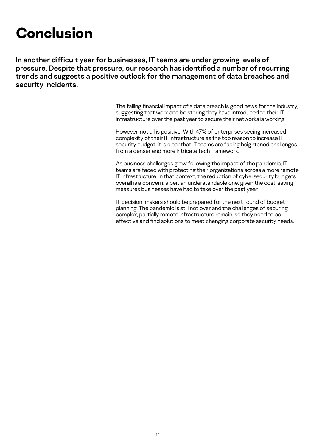## <span id="page-14-0"></span>**Conclusion**

In another difficult year for businesses, IT teams are under growing levels of pressure. Despite that pressure, our research has identified a number of recurring trends and suggests a positive outlook for the management of data breaches and security incidents.

> The falling financial impact of a data breach is good news for the industry, suggesting that work and bolstering they have introduced to their IT infrastructure over the past year to secure their networks is working.

> However, not all is positive. With 47% of enterprises seeing increased complexity of their IT infrastructure as the top reason to increase IT security budget, it is clear that IT teams are facing heightened challenges from a denser and more intricate tech framework.

As business challenges grow following the impact of the pandemic, IT teams are faced with protecting their organizations across a more remote IT infrastructure. In that context, the reduction of cybersecurity budgets overall is a concern, albeit an understandable one, given the cost-saving measures businesses have had to take over the past year.

IT decision-makers should be prepared for the next round of budget planning. The pandemic is still not over and the challenges of securing complex, partially remote infrastructure remain, so they need to be effective and find solutions to meet changing corporate security needs.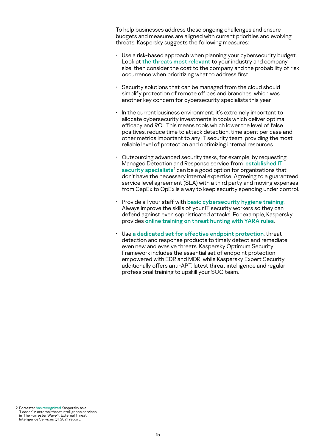To help businesses address these ongoing challenges and ensure budgets and measures are aligned with current priorities and evolving threats, Kaspersky suggests the following measures:

- Use a risk-based approach when planning your cybersecurity budget. Look at [the threats most relevant](https://calculator.kaspersky.com/) to your industry and company size, then consider the cost to the company and the probability of risk occurrence when prioritizing what to address first.
- Security solutions that can be managed from the cloud should simplify protection of remote offices and branches, which was another key concern for cybersecurity specialists this year.
- In the current business environment, it's extremely important to allocate cybersecurity investments in tools which deliver optimal efficacy and ROI. This means tools which lower the level of false positives, reduce time to attack detection, time spent per case and other metrics important to any IT security team, providing the most reliable level of protection and optimizing internal resources.
- Outsourcing advanced security tasks, for example, by requesting Managed Detection and Response service from **established IT** [security specialists](https://www.kaspersky.com/enterprise-security/managed-detection-and-response)<sup>2</sup> can be a good option for organizations that don't have the necessary internal expertise. Agreeing to a guaranteed service level agreement (SLA) with a third party and moving expenses from CapEx to OpEx is a way to keep security spending under control.
- Provide all your staff with [basic cybersecurity hygiene training](https://www.kaspersky.com/small-to-medium-business-security/security-awareness-platform). Always improve the skills of your IT security workers so they can defend against even sophisticated attacks. For example, Kaspersky provides [online training on threat hunting with YARA rules](https://xtraining.kaspersky.com/).
- Use [a dedicated set for effective endpoint protection](https://www.kaspersky.com/enterprise-security), threat detection and response products to timely detect and remediate even new and evasive threats. Kaspersky Optimum Security Framework includes the essential set of endpoint protection empowered with EDR and MDR, while Kaspersky Expert Security additionally offers anti-APT, latest threat intelligence and regular professional training to upskill your SOC team.

<sup>2</sup> Forrester [has recognized](https://www.kaspersky.com/about/press-releases/2021_kaspersky-named-a-leader-in-external-threat-intelligence-services) Kaspersky as a 'Leader' in external threat intelligence services in 'The Forrester Wave™: External Threat Intelligence Services Q1, 2021' report.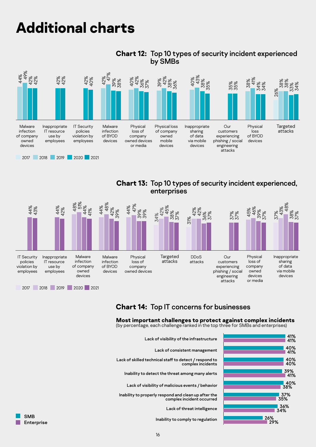# <span id="page-16-0"></span>**Additional charts**



#### **Chart 12:** Top 10 types of security incident experienced by SMBs

**Chart 13:** Top 10 types of security incident experienced, enterprises



### **Chart 14:** Top IT concerns for businesses

#### **Most important challenges to protect against complex incidents** (by percentage, each challenge ranked in the top three for SMBs and enterprises)

| Lack of visibility of the infrastructure                                          | 41%<br>41% |
|-----------------------------------------------------------------------------------|------------|
| Lack of consistent management                                                     | 40%<br>41% |
| Lack of skilled technical staff to detect / respond to<br>complex incidents       | 40%<br>40% |
| Inability to detect the threat among many alerts                                  | 39%<br>41% |
| Lack of visibility of malicious events / behavior                                 | 40%<br>38% |
| Inability to properly respond and clean up after the<br>complex incident occurred | 37%<br>35% |
| Lack of threat intelligence                                                       | 36%<br>34% |
| <b>SMB</b><br>Inability to comply to regulation<br>Enterprise                     | 26%<br>29% |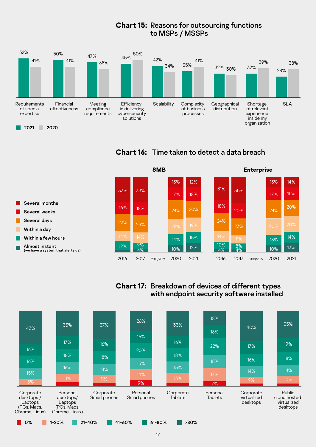### **Chart 15:** Reasons for outsourcing functions to MSPs / MSSPs



**Chart 16:** Time taken to detect a data breach



### **Chart 17:** Breakdown of devices of different types with endpoint security software installed

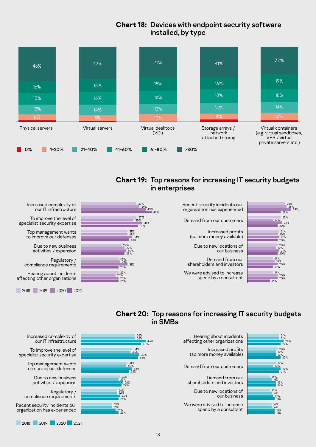### **Chart 18:** Devices with endpoint security software installed, by type



#### **Chart 19:** Top reasons for increasing IT security budgets in enterprises





Increased complexity of our IT infrastructure

To improve the level of specialist security expertise

> Top management wants to improve our defenses

> > Due to new business

Regulatory / compliance requirements

Hearing about incidents 2017 2018 2019 2020 2021 affecting other organizations

2017 2018 2019 2020 2021

### **Chart 20:** Top reasons for increasing IT security budgets in SMBs



Increased complexity of our IT infrastructure

To improve the level of specialist security expertise

> Top management wants to improve our defenses

> > Due to new business activities / expansion

Regulatory / compliance requirements

Recent security incidents our organization has experienced

2017 2018 2019 2020 2021